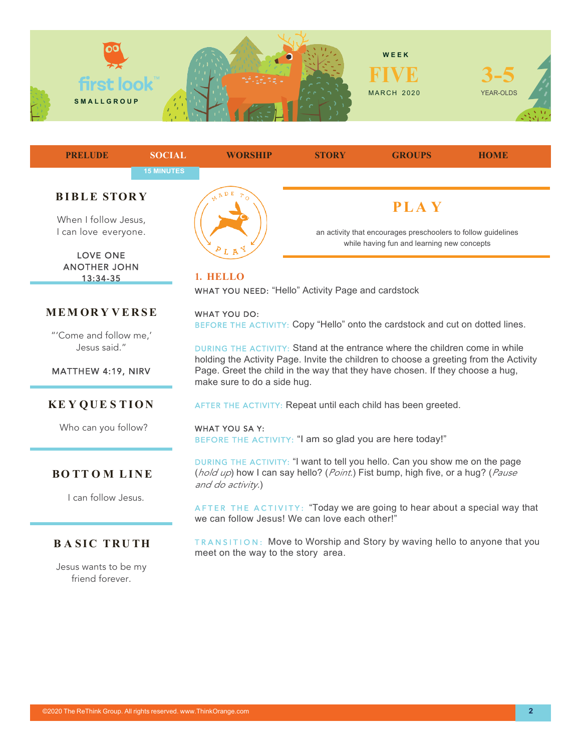



LOVE ONE ANOTHER JOHN 13:34-35

## **MEM OR Y VERSE**

"'Come and follow me,' Jesus said."

MATTHEW 4:19, NIRV

#### **KE Y QUE S TION**

Who can you follow?

#### **BO TT O M LINE**

I can follow Jesus.

# **BASIC TRUTH**

Jesus wants to be my friend forever.



WHAT YOU NEED: "Hello" Activity Page and cardstock

#### WHAT YOU DO:

BEFORE THE ACTIVITY: Copy "Hello" onto the cardstock and cut on dotted lines.

DURING THE ACTIVITY: Stand at the entrance where the children come in while holding the Activity Page. Invite the children to choose a greeting from the Activity Page. Greet the child in the way that they have chosen. If they choose a hug, make sure to do a side hug.

AFTER THE ACTIVITY: Repeat until each child has been greeted.

WHAT YOU SA Y: BEFORE THE ACTIVITY: "I am so glad you are here today!"

DURING THE ACTIVITY: "I want to tell you hello. Can you show me on the page (*hold up*) how I can say hello? (*Point.*) Fist bump, high five, or a hug? (*Pause and do activity.*)

AFTER THE ACTIVITY: "Today we are going to hear about a special way that we can follow Jesus! We can love each other!"

TRANSITION: Move to Worship and Story by waving hello to anyone that you meet on the way to the story area.

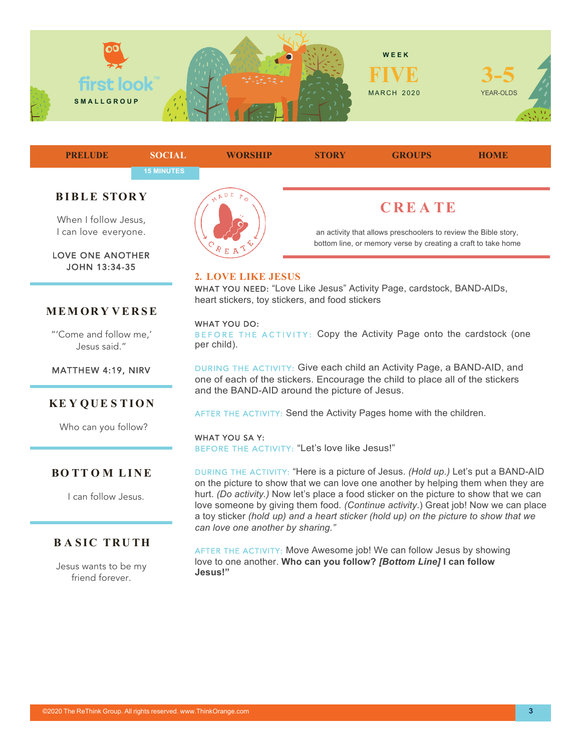



an activity that allows preschoolers to review the Bible story, bottom line, or memory verse by creating a craft to take home

# **2. LOVE LIKE JESUS**

WHAT YOU NEED: "Love Like Jesus" Activity Page, cardstock, BAND-AIDs, heart stickers, toy stickers, and food stickers

#### WHAT YOU DO:

BEFORE THE ACTIVITY: Copy the Activity Page onto the cardstock (one per child).

DURING THE ACTIVITY: Give each child an Activity Page, a BAND-AID, and one of each of the stickers. Encourage the child to place all of the stickers and the BAND-AID around the picture of Jesus.

AFTER THE ACTIVITY: Send the Activity Pages home with the children.

WHAT YOU SA Y: BEFORE THE ACTIVITY: "Let's love like Jesus!"

DURING THE ACTIVITY: "Here is a picture of Jesus. *(Hold up.)* Let's put a BAND-AID on the picture to show that we can love one another by helping them when they are hurt. *(Do activity.)* Now let's place a food sticker on the picture to show that we can love someone by giving them food*. (Continue activity*.) Great job! Now we can place a toy sticker *(hold up) and a heart sticker (hold up) on the picture to show that we can love one another by sharing."*

AFTER THE ACTIVITY: Move Awesome job! We can follow Jesus by showing love to one another. **Who can you follow?** *[Bottom Line]* **I can follow Jesus!"**

I can love everyone.

LOVE ONE ANOTHER JOHN 13:34-35

## **MEM OR Y VERSE**

"'Come and follow me,' Jesus said."

MATTHEW 4:19, NIRV

## **KE Y QUE S TION**

Who can you follow?

#### **BO TT O M LINE**

I can follow Jesus.

# **BASIC TRUTH**

Jesus wants to be my friend forever.